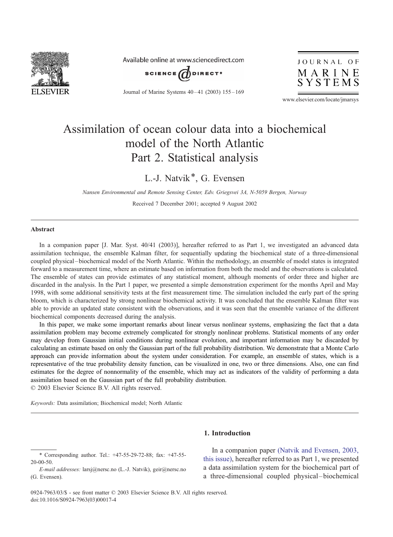

Available online at www.sciencedirect.com



Journal of Marine Systems 40 – 41 (2003) 155 – 169



www.elsevier.com/locate/jmarsys

# Assimilation of ocean colour data into a biochemical model of the North Atlantic Part 2. Statistical analysis

## L.-J. Natvik\*, G. Evensen

Nansen Environmental and Remote Sensing Center, Edv. Griegsvei 3A, N-5059 Bergen, Norway

Received 7 December 2001; accepted 9 August 2002

#### Abstract

In a companion paper [J. Mar. Syst. 40/41 (2003)], hereafter referred to as Part 1, we investigated an advanced data assimilation technique, the ensemble Kalman filter, for sequentially updating the biochemical state of a three-dimensional coupled physical – biochemical model of the North Atlantic. Within the methodology, an ensemble of model states is integrated forward to a measurement time, where an estimate based on information from both the model and the observations is calculated. The ensemble of states can provide estimates of any statistical moment, although moments of order three and higher are discarded in the analysis. In the Part 1 paper, we presented a simple demonstration experiment for the months April and May 1998, with some additional sensitivity tests at the first measurement time. The simulation included the early part of the spring bloom, which is characterized by strong nonlinear biochemical activity. It was concluded that the ensemble Kalman filter was able to provide an updated state consistent with the observations, and it was seen that the ensemble variance of the different biochemical components decreased during the analysis.

In this paper, we make some important remarks about linear versus nonlinear systems, emphasizing the fact that a data assimilation problem may become extremely complicated for strongly nonlinear problems. Statistical moments of any order may develop from Gaussian initial conditions during nonlinear evolution, and important information may be discarded by calculating an estimate based on only the Gaussian part of the full probability distribution. We demonstrate that a Monte Carlo approach can provide information about the system under consideration. For example, an ensemble of states, which is a representative of the true probability density function, can be visualized in one, two or three dimensions. Also, one can find estimates for the degree of nonnormality of the ensemble, which may act as indicators of the validity of performing a data assimilation based on the Gaussian part of the full probability distribution.

 $© 2003 Elsevier Science B.V. All rights reserved.$ 

Keywords: Data assimilation; Biochemical model; North Atlantic

\* Corresponding author. Tel.: +47-55-29-72-88; fax: +47-55- 20-00-50.

### 1. Introduction

In a companion paper [\(Natvik and Evensen, 2003,](#page-14-0) this issue), hereafter referred to as Part 1, we presented a data assimilation system for the biochemical part of a three-dimensional coupled physical – biochemical

E-mail addresses: larsj@nersc.no (L.-J. Natvik), geir@nersc.no (G. Evensen).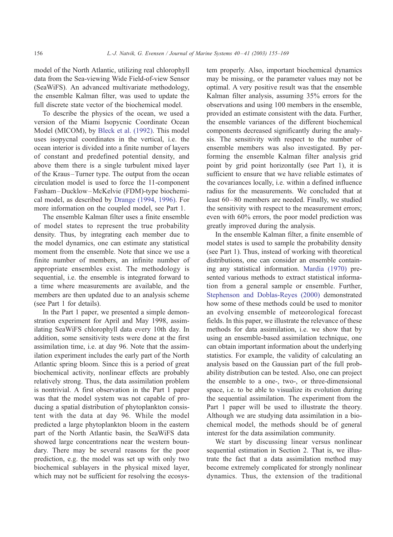model of the North Atlantic, utilizing real chlorophyll data from the Sea-viewing Wide Field-of-view Sensor (SeaWiFS). An advanced multivariate methodology, the ensemble Kalman filter, was used to update the full discrete state vector of the biochemical model.

To describe the physics of the ocean, we used a version of the Miami Isopycnic Coordinate Ocean Model (MICOM), by [Bleck et al. \(1992\).](#page-14-0) This model uses isopycnal coordinates in the vertical, i.e. the ocean interior is divided into a finite number of layers of constant and predefined potential density, and above them there is a single turbulent mixed layer of the Kraus-Turner type. The output from the ocean circulation model is used to force the 11-component Fasham –Ducklow –McKelvie (FDM)-type biochemical model, as described by [Drange \(1994, 1996\).](#page-14-0) For more information on the coupled model, see Part 1.

The ensemble Kalman filter uses a finite ensemble of model states to represent the true probability density. Thus, by integrating each member due to the model dynamics, one can estimate any statistical moment from the ensemble. Note that since we use a finite number of members, an infinite number of appropriate ensembles exist. The methodology is sequential, i.e. the ensemble is integrated forward to a time where measurements are available, and the members are then updated due to an analysis scheme (see Part 1 for details).

In the Part 1 paper, we presented a simple demonstration experiment for April and May 1998, assimilating SeaWiFS chlorophyll data every 10th day. In addition, some sensitivity tests were done at the first assimilation time, i.e. at day 96. Note that the assimilation experiment includes the early part of the North Atlantic spring bloom. Since this is a period of great biochemical activity, nonlinear effects are probably relatively strong. Thus, the data assimilation problem is nontrivial. A first observation in the Part 1 paper was that the model system was not capable of producing a spatial distribution of phytoplankton consistent with the data at day 96. While the model predicted a large phytoplankton bloom in the eastern part of the North Atlantic basin, the SeaWiFS data showed large concentrations near the western boundary. There may be several reasons for the poor prediction, e.g. the model was set up with only two biochemical sublayers in the physical mixed layer, which may not be sufficient for resolving the ecosystem properly. Also, important biochemical dynamics may be missing, or the parameter values may not be optimal. A very positive result was that the ensemble Kalman filter analysis, assuming 35% errors for the observations and using 100 members in the ensemble, provided an estimate consistent with the data. Further, the ensemble variances of the different biochemical components decreased significantly during the analysis. The sensitivity with respect to the number of ensemble members was also investigated. By performing the ensemble Kalman filter analysis grid point by grid point horizontally (see Part 1), it is sufficient to ensure that we have reliable estimates of the covariances locally, i.e. within a defined influence radius for the measurements. We concluded that at least 60–80 members are needed. Finally, we studied the sensitivity with respect to the measurement errors; even with 60% errors, the poor model prediction was greatly improved during the analysis.

In the ensemble Kalman filter, a finite ensemble of model states is used to sample the probability density (see Part 1). Thus, instead of working with theoretical distributions, one can consider an ensemble containing any statistical information. [Mardia \(1970\)](#page-14-0) presented various methods to extract statistical information from a general sample or ensemble. Further, [Stephenson and Doblas-Reyes \(2000\)](#page-14-0) demonstrated how some of these methods could be used to monitor an evolving ensemble of meteorological forecast fields. In this paper, we illustrate the relevance of these methods for data assimilation, i.e. we show that by using an ensemble-based assimilation technique, one can obtain important information about the underlying statistics. For example, the validity of calculating an analysis based on the Gaussian part of the full probability distribution can be tested. Also, one can project the ensemble to a one-, two-, or three-dimensional space, i.e. to be able to visualize its evolution during the sequential assimilation. The experiment from the Part 1 paper will be used to illustrate the theory. Although we are studying data assimilation in a biochemical model, the methods should be of general interest for the data assimilation community.

We start by discussing linear versus nonlinear sequential estimation in Section 2. That is, we illustrate the fact that a data assimilation method may become extremely complicated for strongly nonlinear dynamics. Thus, the extension of the traditional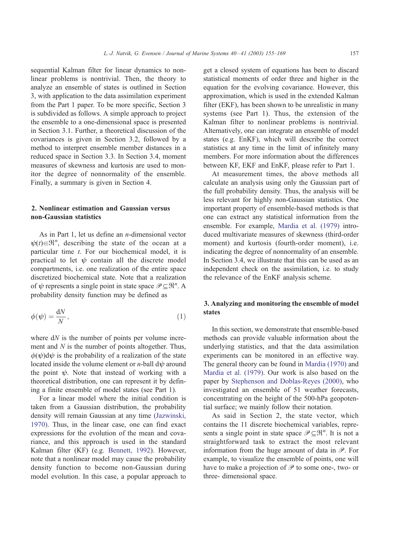sequential Kalman filter for linear dynamics to nonlinear problems is nontrivial. Then, the theory to analyze an ensemble of states is outlined in Section 3, with application to the data assimilation experiment from the Part 1 paper. To be more specific, Section 3 is subdivided as follows. A simple approach to project the ensemble to a one-dimensional space is presented in Section 3.1. Further, a theoretical discussion of the covariances is given in Section 3.2, followed by a method to interpret ensemble member distances in a reduced space in Section 3.3. In Section 3.4, moment measures of skewness and kurtosis are used to monitor the degree of nonnormality of the ensemble. Finally, a summary is given in Section 4.

#### 2. Nonlinear estimation and Gaussian versus non-Gaussian statistics

As in Part 1, let us define an n-dimensional vector  $\psi(t) \in \mathbb{R}^n$ , describing the state of the ocean at a particular time  $t$ . For our biochemical model, it is practical to let  $\psi$  contain all the discrete model compartments, i.e. one realization of the entire space discretized biochemical state. Note that a realization of  $\psi$  represents a single point in state space  $\mathcal{P} \subseteq \mathbb{R}^n$ . A probability density function may be defined as

$$
\phi(\psi) = \frac{\mathrm{d}N}{N},\tag{1}
$$

where  $dN$  is the number of points per volume increment and  $N$  is the number of points altogether. Thus,  $\phi(\psi) d\psi$  is the probability of a realization of the state located inside the volume element or  $n$ -ball d $\psi$  around the point  $\psi$ . Note that instead of working with a theoretical distribution, one can represent it by defining a finite ensemble of model states (see Part 1).

For a linear model where the initial condition is taken from a Gaussian distribution, the probability density will remain Gaussian at any time [\(Jazwinski,](#page-14-0) 1970). Thus, in the linear case, one can find exact expressions for the evolution of the mean and covariance, and this approach is used in the standard Kalman filter (KF) (e.g. [Bennett, 1992\)](#page-13-0). However, note that a nonlinear model may cause the probability density function to become non-Gaussian during model evolution. In this case, a popular approach to

get a closed system of equations has been to discard statistical moments of order three and higher in the equation for the evolving covariance. However, this approximation, which is used in the extended Kalman filter (EKF), has been shown to be unrealistic in many systems (see Part 1). Thus, the extension of the Kalman filter to nonlinear problems is nontrivial. Alternatively, one can integrate an ensemble of model states (e.g. EnKF), which will describe the correct statistics at any time in the limit of infinitely many members. For more information about the differences between KF, EKF and EnKF, please refer to Part 1.

At measurement times, the above methods all calculate an analysis using only the Gaussian part of the full probability density. Thus, the analysis will be less relevant for highly non-Gaussian statistics. One important property of ensemble-based methods is that one can extract any statistical information from the ensemble. For example, [Mardia et al. \(1979\)](#page-14-0) introduced multivariate measures of skewness (third-order moment) and kurtosis (fourth-order moment), i.e. indicating the degree of nonnormality of an ensemble. In Section 3.4, we illustrate that this can be used as an independent check on the assimilation, i.e. to study the relevance of the EnKF analysis scheme.

#### 3. Analyzing and monitoring the ensemble of model states

In this section, we demonstrate that ensemble-based methods can provide valuable information about the underlying statistics, and that the data assimilation experiments can be monitored in an effective way. The general theory can be found in [Mardia \(1970\)](#page-14-0) and [Mardia et al. \(1979\).](#page-14-0) Our work is also based on the paper by [Stephenson and Doblas-Reyes \(2000\),](#page-14-0) who investigated an ensemble of 51 weather forecasts, concentrating on the height of the 500-hPa geopotential surface; we mainly follow their notation.

As said in Section 2, the state vector, which contains the 11 discrete biochemical variables, represents a single point in state space  $\mathcal{P} \subseteq \mathbb{R}^n$ . It is not a straightforward task to extract the most relevant information from the huge amount of data in  $\mathscr{P}$ . For example, to visualize the ensemble of points, one will have to make a projection of  $\mathscr P$  to some one-, two- or three- dimensional space.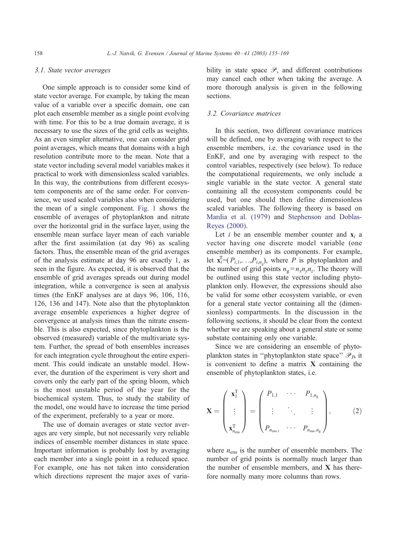#### 3.1. State vector averages

One simple approach is to consider some kind of state vector average. For example, by taking the mean value of a variable over a specific domain, one can plot each ensemble member as a single point evolving with time. For this to be a true domain average, it is necessary to use the sizes of the grid cells as weights. As an even simpler alternative, one can consider grid point averages, which means that domains with a high resolution contribute more to the mean. Note that a state vector including several model variables makes it practical to work with dimensionless scaled variables. In this way, the contributions from different ecosystem components are of the same order. For convenience, we used scaled variables also when considering the mean of a single component. [Fig. 1](#page-4-0) shows the ensemble of averages of phytoplankton and nitrate over the horizontal grid in the surface layer, using the ensemble mean surface layer mean of each variable after the first assimilation (at day 96) as scaling factors. Thus, the ensemble mean of the grid averages of the analysis estimate at day 96 are exactly 1, as seen in the figure. As expected, it is observed that the ensemble of grid averages spreads out during model integration, while a convergence is seen at analysis times (the EnKF analyses are at days 96, 106, 116, 126, 136 and 147). Note also that the phytoplankton average ensemble experiences a higher degree of convergence at analysis times than the nitrate ensemble. This is also expected, since phytoplankton is the observed (measured) variable of the multivariate system. Further, the spread of both ensembles increases for each integration cycle throughout the entire experiment. This could indicate an unstable model. However, the duration of the experiment is very short and covers only the early part of the spring bloom, which is the most unstable period of the year for the biochemical system. Thus, to study the stability of the model, one would have to increase the time period of the experiment, preferably to a year or more.

The use of domain averages or state vector averages are very simple, but not necessarily very reliable indices of ensemble member distances in state space. Important information is probably lost by averaging each member into a single point in a reduced space. For example, one has not taken into consideration which directions represent the major axes of variability in state space  $\mathcal{P}$ , and different contributions may cancel each other when taking the average. A more thorough analysis is given in the following sections.

#### 3.2. Covariance matrices

In this section, two different covariance matrices will be defined, one by averaging with respect to the ensemble members, i.e. the covariance used in the EnKF, and one by averaging with respect to the control variables, respectively (see below). To reduce the computational requirements, we only include a single variable in the state vector. A general state containing all the ecosystem components could be used, but one should then define dimensionless scaled variables. The following theory is based on [Mardia et al. \(1979\)](#page-14-0) and [Stephenson and Doblas-](#page-14-0)Reyes (2000).

Let *i* be an ensemble member counter and  $x_i$  a vector having one discrete model variable (one ensemble member) as its components. For example, let  $\mathbf{x}_i^{\mathrm{T}}=(P_{i,1},\ldots,P_{i,n_{\mathrm{g}}})$ , where P is phytoplankton and the number of grid points  $n_g = n_x n_v n_z$ . The theory will be outlined using this state vector including phytoplankton only. However, the expressions should also be valid for some other ecosystem variable, or even for a general state vector containing all the (dimensionless) compartments. In the discussion in the following sections, it should be clear from the context whether we are speaking about a general state or some substate containing only one variable.

Since we are considering an ensemble of phytoplankton states in "phytoplankton state space"  $\mathcal{P}_B$  it is convenient to define a matrix  $X$  containing the ensemble of phytoplankton states, i.e.

$$
\mathbf{X} = \begin{pmatrix} \mathbf{x}_1^{\mathrm{T}} \\ \vdots \\ \mathbf{x}_{n_{\mathrm{ens}}}^{\mathrm{T}} \end{pmatrix} = \begin{pmatrix} P_{1,1} & \cdots & P_{1,n_{\mathrm{g}} } \\ \vdots & \ddots & \vdots \\ P_{n_{\mathrm{ens},1}} & \cdots & P_{n_{\mathrm{ens},n_{\mathrm{g}}} } \end{pmatrix},
$$
(2)

where  $n_{\text{ens}}$  is the number of ensemble members. The number of grid points is normally much larger than the number of ensemble members, and  $X$  has therefore normally many more columns than rows.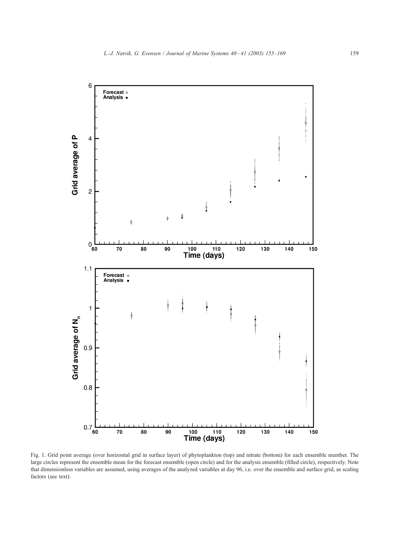<span id="page-4-0"></span>

Fig. 1. Grid point average (over horizontal grid in surface layer) of phytoplankton (top) and nitrate (bottom) for each ensemble member. The large circles represent the ensemble mean for the forecast ensemble (open circle) and for the analysis ensemble (filled circle), respectively. Note that dimensionless variables are assumed, using averages of the analyzed variables at day 96, i.e. over the ensemble and surface grid, as scaling factors (see text).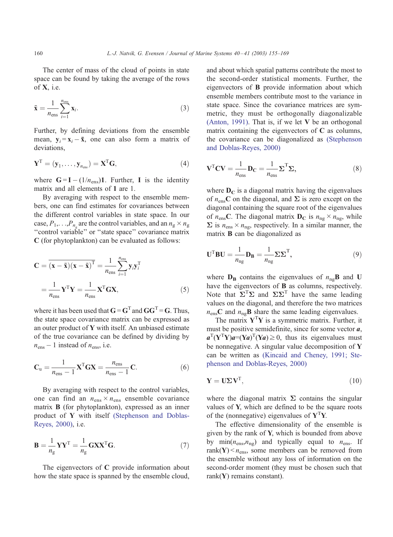The center of mass of the cloud of points in state space can be found by taking the average of the rows of  $X$ , i.e.

$$
\bar{\mathbf{x}} = \frac{1}{n_{\text{ens}}} \sum_{i=1}^{n_{\text{ens}}} \mathbf{x}_i.
$$
 (3)

Further, by defining deviations from the ensemble mean,  $y_i = x_i - \bar{x}$ , one can also form a matrix of deviations,

$$
\mathbf{Y}^{\mathrm{T}} = (\mathbf{y}_1, \dots, \mathbf{y}_{n_{\mathrm{ens}}}) = \mathbf{X}^{\mathrm{T}} \mathbf{G},\tag{4}
$$

where  $G = I - (1/n<sub>ens</sub>)1$ . Further, I is the identity matrix and all elements of 1 are 1.

By averaging with respect to the ensemble members, one can find estimates for covariances between the different control variables in state space. In our case,  $P_1, \ldots, P_{n_n}$  are the control variables, and an  $n_g \times n_g$ "control variable" or "state space" covariance matrix C (for phytoplankton) can be evaluated as follows:

$$
\mathbf{C} = \overline{(\mathbf{x} - \overline{\mathbf{x}})(\mathbf{x} - \overline{\mathbf{x}})^{\mathrm{T}}} = \frac{1}{n_{\text{ens}}} \sum_{i=1}^{n_{\text{ens}}} \mathbf{y}_i \mathbf{y}_i^{\mathrm{T}}
$$

$$
= \frac{1}{n_{\text{ens}}} \mathbf{Y}^{\mathrm{T}} \mathbf{Y} = \frac{1}{n_{\text{ens}}} \mathbf{X}^{\mathrm{T}} \mathbf{G} \mathbf{X}, \tag{5}
$$

where it has been used that  $G = G<sup>T</sup>$  and  $GG<sup>T</sup> = G$ . Thus, the state space covariance matrix can be expressed as an outer product of Y with itself. An unbiased estimate of the true covariance can be defined by dividing by  $n_{\text{ens}} - 1$  instead of  $n_{\text{ens}}$ , i.e.

$$
\mathbf{C}_{\mathrm{u}} = \frac{1}{n_{\mathrm{ens}} - 1} \mathbf{X}^{\mathrm{T}} \mathbf{G} \mathbf{X} = \frac{n_{\mathrm{ens}}}{n_{\mathrm{ens}} - 1} \mathbf{C}.
$$
 (6)

By averaging with respect to the control variables, one can find an  $n_{\text{ens}} \times n_{\text{ens}}$  ensemble covariance matrix B (for phytoplankton), expressed as an inner product of Y with itself [\(Stephenson and Doblas-](#page-14-0)Reyes, 2000), i.e.

$$
\mathbf{B} = \frac{1}{n_{g}} \mathbf{Y} \mathbf{Y}^{T} = \frac{1}{n_{g}} \mathbf{G} \mathbf{X} \mathbf{X}^{T} \mathbf{G}.
$$
 (7)

The eigenvectors of C provide information about how the state space is spanned by the ensemble cloud,

and about which spatial patterns contribute the most to the second-order statistical moments. Further, the eigenvectors of B provide information about which ensemble members contribute most to the variance in state space. Since the covariance matrices are symmetric, they must be orthogonally diagonalizable [\(Anton, 1991\).](#page-13-0) That is, if we let V be an orthogonal matrix containing the eigenvectors of  $C$  as columns. the covariance can be diagonalized as [\(Stephenson](#page-14-0) and Doblas-Reyes, 2000)

$$
\mathbf{V}^{\mathrm{T}}\mathbf{C}\mathbf{V} = \frac{1}{n_{\mathrm{ens}}}\mathbf{D}_{\mathbf{C}} = \frac{1}{n_{\mathrm{ens}}}\boldsymbol{\Sigma}^{\mathrm{T}}\boldsymbol{\Sigma},\tag{8}
$$

where  $D<sub>C</sub>$  is a diagonal matrix having the eigenvalues of  $n_{\text{ens}}$ C on the diagonal, and  $\Sigma$  is zero except on the diagonal containing the square root of the eigenvalues of  $n_{\text{ens}}$ C. The diagonal matrix  $D_C$  is  $n_{\text{ng}} \times n_{\text{ng}}$ , while  $\Sigma$  is  $n_{\text{ens}} \times n_{\text{ng}}$ , respectively. In a similar manner, the matrix B can be diagonalized as

$$
\mathbf{U}^{\mathrm{T}} \mathbf{B} \mathbf{U} = \frac{1}{n_{\mathrm{ng}}} \mathbf{D}_{\mathbf{B}} = \frac{1}{n_{\mathrm{ng}}} \Sigma \Sigma^{\mathrm{T}}, \tag{9}
$$

where  $D_B$  contains the eigenvalues of  $n_{ng}$ **B** and **U** have the eigenvectors of **B** as columns, respectively. Note that  $\Sigma^T \Sigma$  and  $\Sigma \Sigma^T$  have the same leading values on the diagonal, and therefore the two matrices  $n_{\text{ens}}$ C and  $n_{\text{ng}}$ B share the same leading eigenvalues.

The matrix  $\mathbf{Y}^T \mathbf{Y}$  is a symmetric matrix. Further, it must be positive semidefinite, since for some vector  $a$ ,  $a^{T}(Y^{T}Y)a=(Ya)^{T}(Ya) \ge 0$ , thus its eigenvalues must be nonnegative. A singular value decomposition of Y can be written as [\(Kincaid and Cheney, 1991; Ste](#page-14-0)phenson and Doblas-Reyes, 2000)

$$
\mathbf{Y} = \mathbf{U} \mathbf{\Sigma} \mathbf{V}^{\mathrm{T}},\tag{10}
$$

where the diagonal matrix  $\Sigma$  contains the singular values of Y, which are defined to be the square roots of the (nonnegative) eigenvalues of  $Y^T Y$ .

The effective dimensionality of the ensemble is given by the rank of  $Y$ , which is bounded from above by  $\min(n_{\text{ens}}, n_{\text{ng}})$  and typically equal to  $n_{\text{ens}}$ . If rank(Y)  $n_{ens}$ , some members can be removed from the ensemble without any loss of information on the second-order moment (they must be chosen such that  $rank(Y)$  remains constant).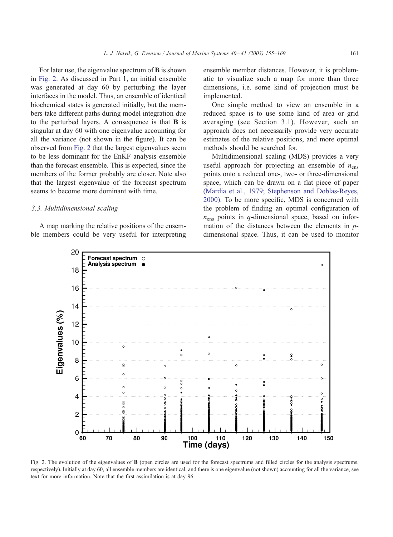<span id="page-6-0"></span>For later use, the eigenvalue spectrum of B is shown in Fig. 2. As discussed in Part 1, an initial ensemble was generated at day 60 by perturbing the layer interfaces in the model. Thus, an ensemble of identical biochemical states is generated initially, but the members take different paths during model integration due to the perturbed layers. A consequence is that B is singular at day 60 with one eigenvalue accounting for all the variance (not shown in the figure). It can be observed from Fig. 2 that the largest eigenvalues seem to be less dominant for the EnKF analysis ensemble than the forecast ensemble. This is expected, since the members of the former probably are closer. Note also that the largest eigenvalue of the forecast spectrum seems to become more dominant with time.

#### 3.3. Multidimensional scaling

A map marking the relative positions of the ensemble members could be very useful for interpreting ensemble member distances. However, it is problematic to visualize such a map for more than three dimensions, i.e. some kind of projection must be implemented.

One simple method to view an ensemble in a reduced space is to use some kind of area or grid averaging (see Section 3.1). However, such an approach does not necessarily provide very accurate estimates of the relative positions, and more optimal methods should be searched for.

Multidimensional scaling (MDS) provides a very useful approach for projecting an ensemble of  $n_{\text{ens}}$ points onto a reduced one-, two- or three-dimensional space, which can be drawn on a flat piece of paper [\(Mardia et al., 1979; Stephenson and Doblas-Reyes,](#page-14-0) 2000). To be more specific, MDS is concerned with the problem of finding an optimal configuration of  $n_{\text{ens}}$  points in q-dimensional space, based on information of the distances between the elements in pdimensional space. Thus, it can be used to monitor



Fig. 2. The evolution of the eigenvalues of **B** (open circles are used for the forecast spectrums and filled circles for the analysis spectrums, respectively). Initially at day 60, all ensemble members are identical, and there is one eigenvalue (not shown) accounting for all the variance, see text for more information. Note that the first assimilation is at day 96.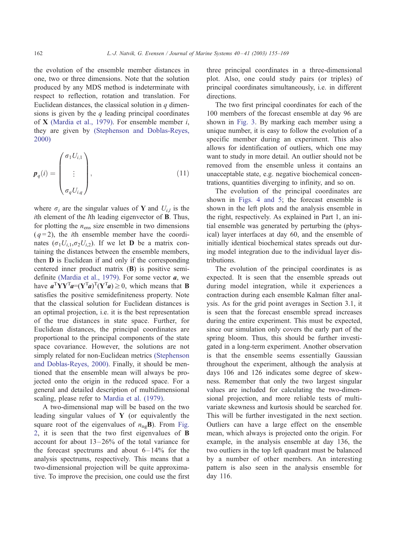the evolution of the ensemble member distances in one, two or three dimensions. Note that the solution produced by any MDS method is indeterminate with respect to reflection, rotation and translation. For Euclidean distances, the classical solution in  $q$  dimensions is given by the  $q$  leading principal coordinates of  $X$  [\(Mardia et al., 1979\).](#page-14-0) For ensemble member  $i$ , they are given by [\(Stephenson and Doblas-Reyes,](#page-14-0) 2000)

$$
\boldsymbol{p}_q(i) = \begin{pmatrix} \sigma_1 U_{i,1} \\ \vdots \\ \sigma_q U_{i,q} \end{pmatrix},
$$
\n(11)

where  $\sigma_i$  are the singular values of Y and  $U_{i,l}$  is the ith element of the *th leading eigenvector of . Thus,* for plotting the  $n_{\text{ens}}$  size ensemble in two dimensions  $(q=2)$ , the *i*th ensemble member have the coordinates  $(\sigma_1 U_{i,1}, \sigma_2 U_{i,2})$ . If we let **D** be a matrix containing the distances between the ensemble members, then D is Euclidean if and only if the corresponding centered inner product matrix (B) is positive semi-definite [\(Mardia et al., 1979\).](#page-14-0) For some vector  $a$ , we have  $a^T \mathbf{Y} \mathbf{Y}^T a = (\mathbf{Y}^T a)^T (\mathbf{Y}^T a) \geq 0$ , which means that **B** satisfies the positive semidefiniteness property. Note that the classical solution for Euclidean distances is an optimal projection, i.e. it is the best representation of the true distances in state space. Further, for Euclidean distances, the principal coordinates are proportional to the principal components of the state space covariance. However, the solutions are not simply related for non-Euclidean metrics [\(Stephenson](#page-14-0) and Doblas-Reyes, 2000). Finally, it should be mentioned that the ensemble mean will always be projected onto the origin in the reduced space. For a general and detailed description of multidimensional scaling, please refer to [Mardia et al. \(1979\).](#page-14-0)

A two-dimensional map will be based on the two leading singular values of Y (or equivalently the square root of the eigenvalues of  $n_{\text{ng}}$ **B**). From [Fig.](#page-6-0) 2, it is seen that the two first eigenvalues of B account for about  $13-26\%$  of the total variance for the forecast spectrums and about  $6 - 14\%$  for the analysis spectrums, respectively. This means that a two-dimensional projection will be quite approximative. To improve the precision, one could use the first three principal coordinates in a three-dimensional plot. Also, one could study pairs (or triples) of principal coordinates simultaneously, i.e. in different directions.

The two first principal coordinates for each of the 100 members of the forecast ensemble at day 96 are shown in [Fig. 3.](#page-8-0) By marking each member using a unique number, it is easy to follow the evolution of a specific member during an experiment. This also allows for identification of outliers, which one may want to study in more detail. An outlier should not be removed from the ensemble unless it contains an unacceptable state, e.g. negative biochemical concentrations, quantities diverging to infinity, and so on.

The evolution of the principal coordinates are shown in [Figs. 4 and 5;](#page-9-0) the forecast ensemble is shown in the left plots and the analysis ensemble in the right, respectively. As explained in Part 1, an initial ensemble was generated by perturbing the (physical) layer interfaces at day 60, and the ensemble of initially identical biochemical states spreads out during model integration due to the individual layer distributions.

The evolution of the principal coordinates is as expected. It is seen that the ensemble spreads out during model integration, while it experiences a contraction during each ensemble Kalman filter analysis. As for the grid point averages in Section 3.1, it is seen that the forecast ensemble spread increases during the entire experiment. This must be expected, since our simulation only covers the early part of the spring bloom. Thus, this should be further investigated in a long-term experiment. Another observation is that the ensemble seems essentially Gaussian throughout the experiment, although the analysis at days 106 and 126 indicates some degree of skewness. Remember that only the two largest singular values are included for calculating the two-dimensional projection, and more reliable tests of multivariate skewness and kurtosis should be searched for. This will be further investigated in the next section. Outliers can have a large effect on the ensemble mean, which always is projected onto the origin. For example, in the analysis ensemble at day 136, the two outliers in the top left quadrant must be balanced by a number of other members. An interesting pattern is also seen in the analysis ensemble for day 116.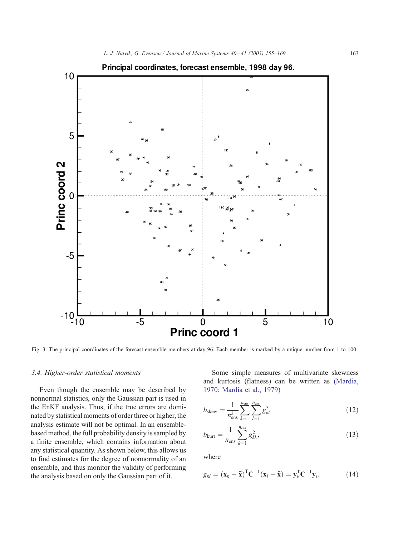<span id="page-8-0"></span>

Fig. 3. The principal coordinates of the forecast ensemble members at day 96. Each member is marked by a unique number from 1 to 100.

#### 3.4. Higher-order statistical moments

Even though the ensemble may be described by nonnormal statistics, only the Gaussian part is used in the EnKF analysis. Thus, if the true errors are dominated by statistical moments of order three or higher, the analysis estimate will not be optimal. In an ensemblebased method, the full probability density is sampled by a finite ensemble, which contains information about any statistical quantity. As shown below, this allows us to find estimates for the degree of nonnormality of an ensemble, and thus monitor the validity of performing the analysis based on only the Gaussian part of it.

Some simple measures of multivariate skewness and kurtosis (flatness) can be written as [\(Mardia,](#page-14-0) 1970; Mardia et al., 1979)

$$
b_{\rm skew} = \frac{1}{n_{\rm ens}^2} \sum_{k=1}^{n_{\rm ens}} \sum_{l=1}^{n_{\rm ens}} g_{kl}^3 \tag{12}
$$

$$
b_{\text{kurt}} = \frac{1}{n_{\text{ens}}} \sum_{k=1}^{n_{\text{ens}}} g_{kk}^2,
$$
 (13)

where

$$
g_{kl} = (\mathbf{x}_k - \bar{\mathbf{x}})^{\mathrm{T}} \mathbf{C}^{-1} (\mathbf{x}_l - \bar{\mathbf{x}}) = \mathbf{y}_k^{\mathrm{T}} \mathbf{C}^{-1} \mathbf{y}_l.
$$
 (14)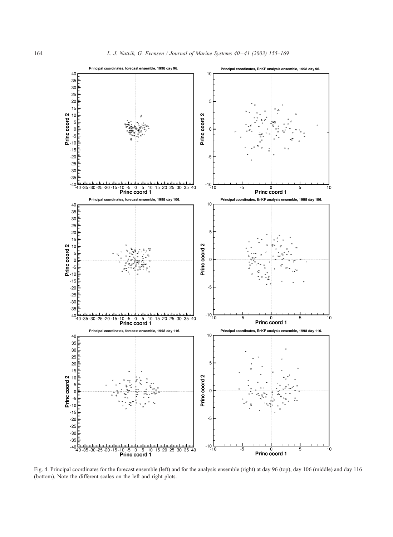<span id="page-9-0"></span>

Fig. 4. Principal coordinates for the forecast ensemble (left) and for the analysis ensemble (right) at day 96 (top), day 106 (middle) and day 116 (bottom). Note the different scales on the left and right plots.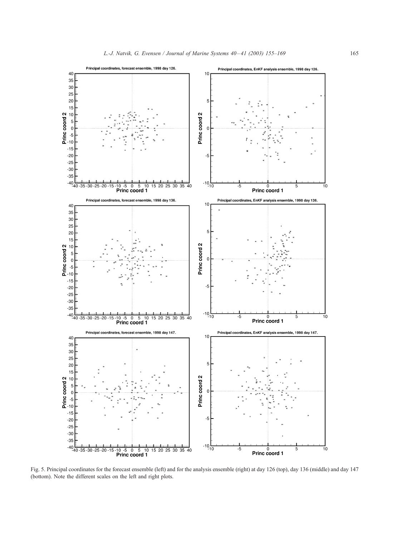

Fig. 5. Principal coordinates for the forecast ensemble (left) and for the analysis ensemble (right) at day 126 (top), day 136 (middle) and day 147 (bottom). Note the different scales on the left and right plots.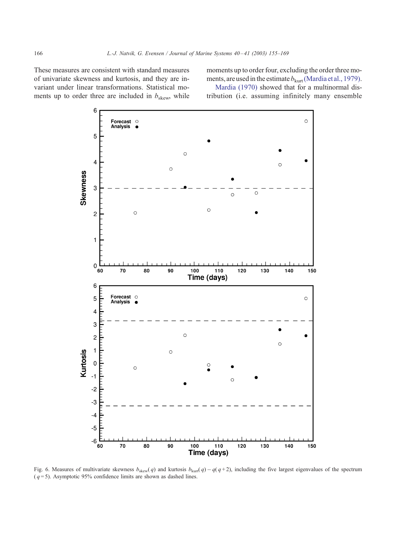<span id="page-11-0"></span>These measures are consistent with standard measures of univariate skewness and kurtosis, and they are invariant under linear transformations. Statistical moments up to order three are included in  $b_{\text{skew}}$ , while

moments up to order four, excluding the order three moments, are used in the estimate  $b_{\text{kurt}}$  [\(Mardia et al., 1979\).](#page-14-0)

[Mardia \(1970\)](#page-14-0) showed that for a multinormal distribution (i.e. assuming infinitely many ensemble



Fig. 6. Measures of multivariate skewness  $b_{\text{skew}}(q)$  and kurtosis  $b_{\text{kurt}}(q) - q(q+2)$ , including the five largest eigenvalues of the spectrum  $(q=5)$ . Asymptotic 95% confidence limits are shown as dashed lines.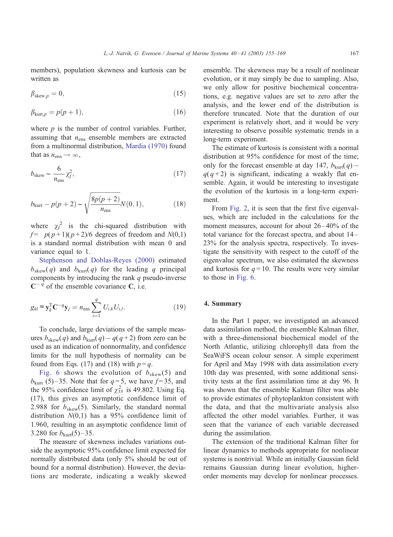members), population skewness and kurtosis can be written as

$$
\beta_{\text{skew},p} = 0,\tag{15}
$$

$$
\beta_{\text{kurt},p} = p(p+1),\tag{16}
$$

where  $p$  is the number of control variables. Further, assuming that  $n_{\text{ens}}$  ensemble members are extracted from a multinormal distribution, [Mardia \(1970\)](#page-14-0) found that as  $n_{\text{ens}} \rightarrow \infty$ ,

$$
b_{\text{skew}} \sim \frac{6}{n_{\text{ens}}} \chi_f^2,\tag{17}
$$

$$
b_{\text{kurt}} - p(p+2) \sim \sqrt{\frac{8p(p+2)}{n_{\text{ens}}}} N(0, 1), \tag{18}
$$

where  $\chi_f^2$  is the chi-squared distribution with  $f = p(p+1)(p+2)/6$  degrees of freedom and  $N(0,1)$ is a standard normal distribution with mean 0 and variance equal to 1.

[Stephenson and Doblas-Reyes \(2000\)](#page-14-0) estimated  $b_{\text{skew}}(q)$  and  $b_{\text{kurt}}(q)$  for the leading q principal components by introducing the rank  $q$  pseudo-inverse  $C^{-q}$  of the ensemble covariance C, i.e.

$$
g_{kl} \approx \mathbf{y}_k^{\mathrm{T}} \mathbf{C}^{-q} \mathbf{y}_l = n_{\mathrm{ens}} \sum_{i=1}^q U_{i,k} U_{i,l}.
$$
 (19)

To conclude, large deviations of the sample measures  $b_{\text{skew}}(q)$  and  $b_{\text{kurt}}(q) - q(q+2)$  from zero can be used as an indication of nonnormality, and confidence limits for the null hypothesis of normality can be found from Eqs. (17) and (18) with  $p = q$ .

[Fig. 6](#page-11-0) shows the evolution of  $b_{\text{skew}}(5)$  and  $b_{\text{kurt}}$  (5)–35. Note that for  $q=5$ , we have  $f=35$ , and the 95% confidence limit of  $\chi^2_{35}$  is 49.802. Using Eq. (17), this gives an asymptotic confidence limit of 2.988 for  $b_{\text{skew}}(5)$ . Similarly, the standard normal distribution  $N(0,1)$  has a 95% confidence limit of 1.960, resulting in an asymptotic confidence limit of 3.280 for  $b_{\text{kurt}}(5) - 35$ .

The measure of skewness includes variations outside the asymptotic 95% confidence limit expected for normally distributed data (only 5% should be out of bound for a normal distribution). However, the deviations are moderate, indicating a weakly skewed

ensemble. The skewness may be a result of nonlinear evolution, or it may simply be due to sampling. Also, we only allow for positive biochemical concentrations, e.g. negative values are set to zero after the analysis, and the lower end of the distribution is therefore truncated. Note that the duration of our experiment is relatively short, and it would be very interesting to observe possible systematic trends in a long-term experiment.

The estimate of kurtosis is consistent with a normal distribution at 95% confidence for most of the time; only for the forecast ensemble at day 147,  $b_{\text{kurt}}(q)$  –  $q(q+2)$  is significant, indicating a weakly flat ensemble. Again, it would be interesting to investigate the evolution of the kurtosis in a long-term experiment.

From [Fig. 2,](#page-6-0) it is seen that the first five eigenvalues, which are included in the calculations for the moment measures, account for about 26–40% of the total variance for the forecast spectra, and about 14 – 23% for the analysis spectra, respectively. To investigate the sensitivity with respect to the cutoff of the eigenvalue spectrum, we also estimated the skewness and kurtosis for  $q = 10$ . The results were very similar to those in [Fig. 6.](#page-11-0)

#### 4. Summary

In the Part 1 paper, we investigated an advanced data assimilation method, the ensemble Kalman filter, with a three-dimensional biochemical model of the North Atlantic, utilizing chlorophyll data from the SeaWiFS ocean colour sensor. A simple experiment for April and May 1998 with data assimilation every 10th day was presented, with some additional sensitivity tests at the first assimilation time at day 96. It was shown that the ensemble Kalman filter was able to provide estimates of phytoplankton consistent with the data, and that the multivariate analysis also affected the other model variables. Further, it was seen that the variance of each variable decreased during the assimilation.

The extension of the traditional Kalman filter for linear dynamics to methods appropriate for nonlinear systems is nontrivial. While an initially Gaussian field remains Gaussian during linear evolution, higherorder moments may develop for nonlinear processes.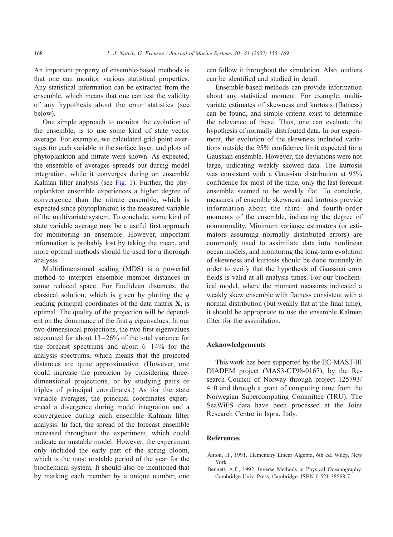<span id="page-13-0"></span>An important property of ensemble-based methods is that one can monitor various statistical properties. Any statistical information can be extracted from the ensemble, which means that one can test the validity of any hypothesis about the error statistics (see below).

One simple approach to monitor the evolution of the ensemble, is to use some kind of state vector average. For example, we calculated grid point averages for each variable in the surface layer, and plots of phytoplankton and nitrate were shown. As expected, the ensemble of averages spreads out during model integration, while it converges during an ensemble Kalman filter analysis (see [Fig. 1\)](#page-4-0). Further, the phytoplankton ensemble experiences a higher degree of convergence than the nitrate ensemble, which is expected since phytoplankton is the measured variable of the multivariate system. To conclude, some kind of state variable average may be a useful first approach for monitoring an ensemble. However, important information is probably lost by taking the mean, and more optimal methods should be used for a thorough analysis.

Multidimensional scaling (MDS) is a powerful method to interpret ensemble member distances in some reduced space. For Euclidean distances, the classical solution, which is given by plotting the  $q$ leading principal coordinates of the data matrix X, is optimal. The quality of the projection will be dependent on the dominance of the first  $q$  eigenvalues. In our two-dimensional projections, the two first eigenvalues accounted for about 13 –26% of the total variance for the forecast spectrums and about  $6 - 14\%$  for the analysis spectrums, which means that the projected distances are quite approximative. (However, one could increase the precicion by considering threedimensional projections, or by studying pairs or triples of principal coordinates.) As for the state variable averages, the principal coordinates experienced a divergence during model integration and a convergence during each ensemble Kalman filter analysis. In fact, the spread of the forecast ensemble increased throughout the experiment, which could indicate an unstable model. However, the experiment only included the early part of the spring bloom, which is the most unstable period of the year for the biochemical system. It should also be mentioned that by marking each member by a unique number, one can follow it throughout the simulation. Also, outliers can be identified and studied in detail.

Ensemble-based methods can provide information about any statistical moment. For example, multivariate estimates of skewness and kurtosis (flatness) can be found, and simple criteria exist to determine the relevance of these. Thus, one can evaluate the hypothesis of normally distributed data. In our experiment, the evolution of the skewness included variations outside the 95% confidence limit expected for a Gaussian ensemble. However, the deviations were not large, indicating weakly skewed data. The kurtosis was consistent with a Gaussian distribution at 95% confidence for most of the time, only the last forecast ensemble seemed to be weakly flat. To conclude, measures of ensemble skewness and kurtosis provide information about the third- and fourth-order moments of the ensemble, indicating the degree of nonnormality. Minimum variance estimators (or estimators assuming normally distributed errors) are commonly used to assimilate data into nonlinear ocean models, and monitoring the long-term evolution of skewness and kurtosis should be done routinely in order to verify that the hypothesis of Gaussian error fields is valid at all analysis times. For our biochemical model, where the moment measures indicated a weakly skew ensemble with flatness consistent with a normal distribution (but weakly flat at the final time), it should be appropriate to use the ensemble Kalman filter for the assimilation.

#### Acknowledgements

This work has been supported by the EC-MAST-III DIADEM project (MAS3-CT98-0167), by the Research Council of Norway through project 125793/ 410 and through a grant of computing time from the Norwegian Supercomputing Committee (TRU). The SeaWiFS data have been processed at the Joint Research Centre in Ispra, Italy.

#### References

- Anton, H., 1991. Elementary Linear Algebra, 6th ed. Wiley, New York.
- Bennett, A.F., 1992. Inverse Methods in Physical Oceanography. Cambridge Univ. Press, Cambridge. ISBN 0-521-38568-7.